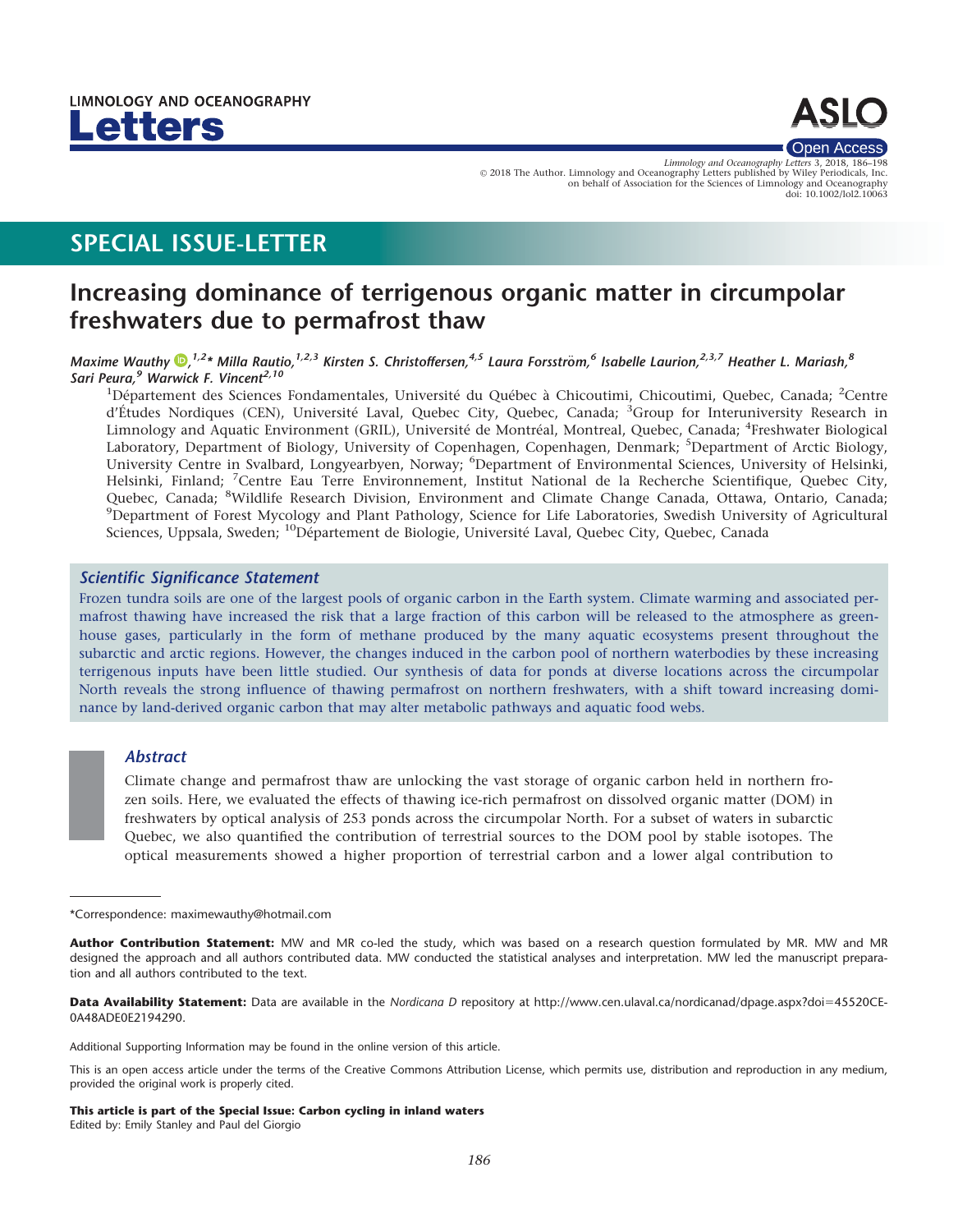



Limnology and Oceanography Letters 3, 2018, 186-19 V<sup>C</sup> 2018 The Author. Limnology and Oceanography Letters published by Wiley Periodicals, Inc. on behalf of Association for the Sciences of Limnology and Oceanography doi: 10.1002/lol2.10063

# SPECIAL ISSUE-LETTER

# Increasing dominance of terrigenous organic matter in circumpolar freshwaters due to permafrost thaw

## Maxime Wauthy  $\Phi$ ,<sup>1,2</sup>\* Milla Rautio,<sup>1,2,3</sup> Kirsten S. Christoffersen,<sup>4,5</sup> Laura Forsström,<sup>6</sup> Isabelle Laurion,<sup>2,3,7</sup> Heather L. Mariash,<sup>8</sup> Sari Peura,<sup>9</sup> Warwick F. Vincent<sup>2,10</sup>

<sup>1</sup>Département des Sciences Fondamentales, Université du Québec à Chicoutimi, Chicoutimi, Quebec, Canada; <sup>2</sup>Centre d'Études Nordiques (CEN), Université Laval, Quebec City, Quebec, Canada; <sup>3</sup>Group for Interuniversity Research in Limnology and Aquatic Environment (GRIL), Université de Montréal, Montreal, Quebec, Canada; <sup>4</sup>Freshwater Biological Laboratory, Department of Biology, University of Copenhagen, Copenhagen, Denmark; <sup>5</sup>Department of Arctic Biology, University Centre in Svalbard, Longyearbyen, Norway; <sup>6</sup>Department of Environmental Sciences, University of Helsinki, Helsinki, Finland; <sup>7</sup>Centre Eau Terre Environnement, Institut National de la Recherche Scientifique, Quebec City, Quebec, Canada; <sup>8</sup>Wildlife Research Division, Environment and Climate Change Canada, Ottawa, Ontario, Canada;<br><sup>9</sup>Department of Egrest Mycology and Plant Pathology, Science for Life Laboratories, Swedish University of Agri <sup>9</sup>Department of Forest Mycology and Plant Pathology, Science for Life Laboratories, Swedish University of Agricultural Sciences, Uppsala, Sweden; <sup>10</sup>Département de Biologie, Université Laval, Quebec City, Quebec, Canada

# Scientific Significance Statement

Frozen tundra soils are one of the largest pools of organic carbon in the Earth system. Climate warming and associated permafrost thawing have increased the risk that a large fraction of this carbon will be released to the atmosphere as greenhouse gases, particularly in the form of methane produced by the many aquatic ecosystems present throughout the subarctic and arctic regions. However, the changes induced in the carbon pool of northern waterbodies by these increasing terrigenous inputs have been little studied. Our synthesis of data for ponds at diverse locations across the circumpolar North reveals the strong influence of thawing permafrost on northern freshwaters, with a shift toward increasing dominance by land-derived organic carbon that may alter metabolic pathways and aquatic food webs.

# **Abstract**

Climate change and permafrost thaw are unlocking the vast storage of organic carbon held in northern frozen soils. Here, we evaluated the effects of thawing ice-rich permafrost on dissolved organic matter (DOM) in freshwaters by optical analysis of 253 ponds across the circumpolar North. For a subset of waters in subarctic Quebec, we also quantified the contribution of terrestrial sources to the DOM pool by stable isotopes. The optical measurements showed a higher proportion of terrestrial carbon and a lower algal contribution to

Data Availability Statement: Data are available in the Nordicana D repository at [http://www.cen.ulaval.ca/nordicanad/dpage.aspx?doi](http://www.cen.ulaval.ca/nordicanad/dpage.aspx?doi=45520CE-0A48ADE0E2194290)=[45520CE-](http://www.cen.ulaval.ca/nordicanad/dpage.aspx?doi=45520CE-0A48ADE0E2194290)[0A48ADE0E2194290.](http://www.cen.ulaval.ca/nordicanad/dpage.aspx?doi=45520CE-0A48ADE0E2194290)

Additional Supporting Information may be found in the online version of this article.

This is an open access article under the terms of the [Creative Commons Attribution](http://creativecommons.org/licenses/by/4.0/) License, which permits use, distribution and reproduction in any medium, provided the original work is properly cited.

This article is part of the Special Issue: Carbon cycling in inland waters Edited by: Emily Stanley and Paul del Giorgio

<sup>\*</sup>Correspondence: maximewauthy@hotmail.com

Author Contribution Statement: MW and MR co-led the study, which was based on a research question formulated by MR. MW and MR designed the approach and all authors contributed data. MW conducted the statistical analyses and interpretation. MW led the manuscript preparation and all authors contributed to the text.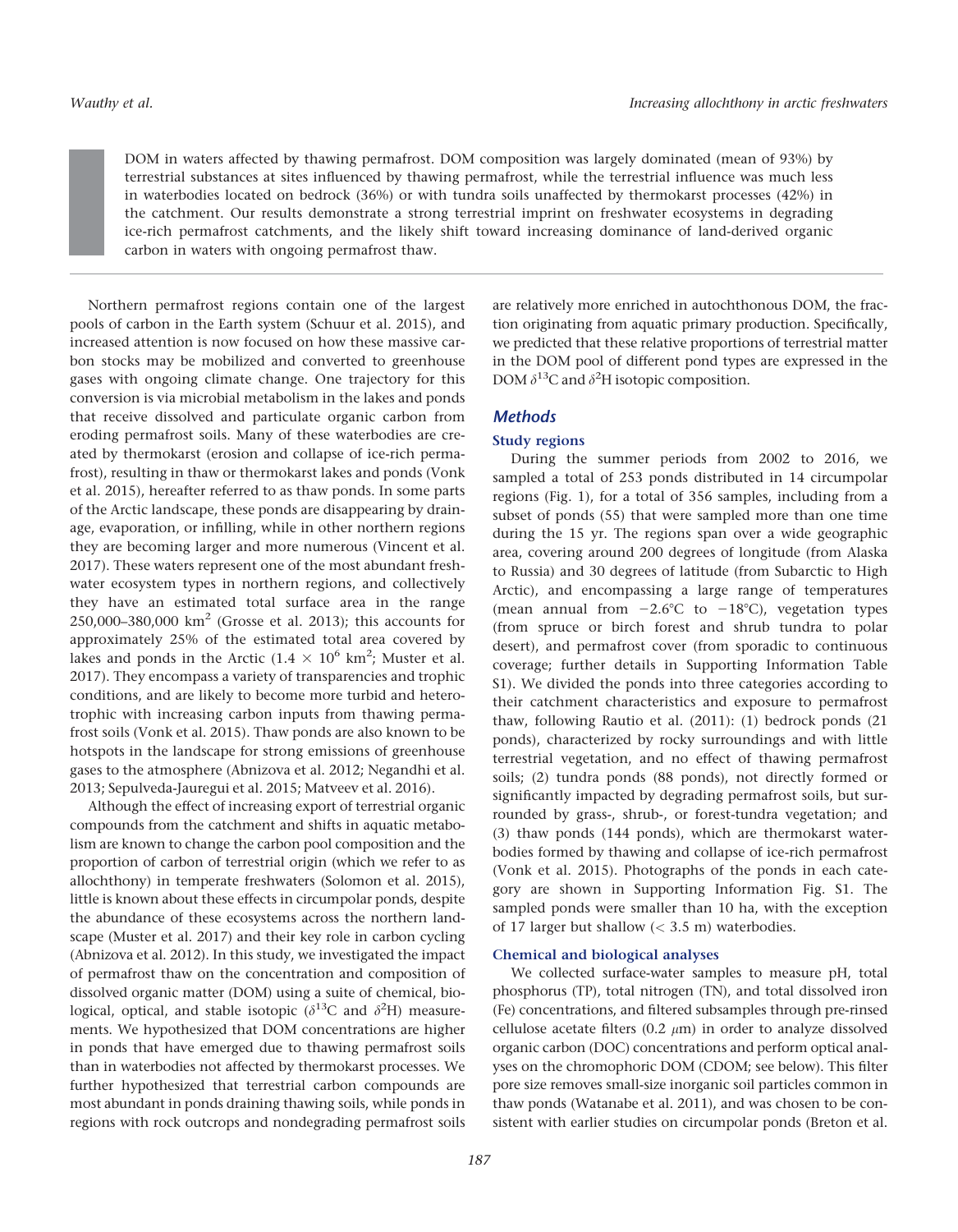DOM in waters affected by thawing permafrost. DOM composition was largely dominated (mean of 93%) by terrestrial substances at sites influenced by thawing permafrost, while the terrestrial influence was much less in waterbodies located on bedrock (36%) or with tundra soils unaffected by thermokarst processes (42%) in the catchment. Our results demonstrate a strong terrestrial imprint on freshwater ecosystems in degrading ice-rich permafrost catchments, and the likely shift toward increasing dominance of land-derived organic carbon in waters with ongoing permafrost thaw.

Northern permafrost regions contain one of the largest pools of carbon in the Earth system (Schuur et al. 2015), and increased attention is now focused on how these massive carbon stocks may be mobilized and converted to greenhouse gases with ongoing climate change. One trajectory for this conversion is via microbial metabolism in the lakes and ponds that receive dissolved and particulate organic carbon from eroding permafrost soils. Many of these waterbodies are created by thermokarst (erosion and collapse of ice-rich permafrost), resulting in thaw or thermokarst lakes and ponds (Vonk et al. 2015), hereafter referred to as thaw ponds. In some parts of the Arctic landscape, these ponds are disappearing by drainage, evaporation, or infilling, while in other northern regions they are becoming larger and more numerous (Vincent et al. 2017). These waters represent one of the most abundant freshwater ecosystem types in northern regions, and collectively they have an estimated total surface area in the range 250,000–380,000  $km^2$  (Grosse et al. 2013); this accounts for approximately 25% of the estimated total area covered by lakes and ponds in the Arctic ( $1.4 \times 10^6$  km<sup>2</sup>; Muster et al. 2017). They encompass a variety of transparencies and trophic conditions, and are likely to become more turbid and heterotrophic with increasing carbon inputs from thawing permafrost soils (Vonk et al. 2015). Thaw ponds are also known to be hotspots in the landscape for strong emissions of greenhouse gases to the atmosphere (Abnizova et al. 2012; Negandhi et al. 2013; Sepulveda-Jauregui et al. 2015; Matveev et al. 2016).

Although the effect of increasing export of terrestrial organic compounds from the catchment and shifts in aquatic metabolism are known to change the carbon pool composition and the proportion of carbon of terrestrial origin (which we refer to as allochthony) in temperate freshwaters (Solomon et al. 2015), little is known about these effects in circumpolar ponds, despite the abundance of these ecosystems across the northern landscape (Muster et al. 2017) and their key role in carbon cycling (Abnizova et al. 2012). In this study, we investigated the impact of permafrost thaw on the concentration and composition of dissolved organic matter (DOM) using a suite of chemical, biological, optical, and stable isotopic ( $\delta^{13}$ C and  $\delta^2$ H) measurements. We hypothesized that DOM concentrations are higher in ponds that have emerged due to thawing permafrost soils than in waterbodies not affected by thermokarst processes. We further hypothesized that terrestrial carbon compounds are most abundant in ponds draining thawing soils, while ponds in regions with rock outcrops and nondegrading permafrost soils are relatively more enriched in autochthonous DOM, the fraction originating from aquatic primary production. Specifically, we predicted that these relative proportions of terrestrial matter in the DOM pool of different pond types are expressed in the DOM  $\delta^{13}$ C and  $\delta^2$ H isotopic composition.

# **Methods**

## Study regions

During the summer periods from 2002 to 2016, we sampled a total of 253 ponds distributed in 14 circumpolar regions (Fig. 1), for a total of 356 samples, including from a subset of ponds (55) that were sampled more than one time during the 15 yr. The regions span over a wide geographic area, covering around 200 degrees of longitude (from Alaska to Russia) and 30 degrees of latitude (from Subarctic to High Arctic), and encompassing a large range of temperatures (mean annual from  $-2.6^{\circ}$ C to  $-18^{\circ}$ C), vegetation types (from spruce or birch forest and shrub tundra to polar desert), and permafrost cover (from sporadic to continuous coverage; further details in Supporting Information Table S1). We divided the ponds into three categories according to their catchment characteristics and exposure to permafrost thaw, following Rautio et al. (2011): (1) bedrock ponds (21 ponds), characterized by rocky surroundings and with little terrestrial vegetation, and no effect of thawing permafrost soils; (2) tundra ponds (88 ponds), not directly formed or significantly impacted by degrading permafrost soils, but surrounded by grass-, shrub-, or forest-tundra vegetation; and (3) thaw ponds (144 ponds), which are thermokarst waterbodies formed by thawing and collapse of ice-rich permafrost (Vonk et al. 2015). Photographs of the ponds in each category are shown in Supporting Information Fig. S1. The sampled ponds were smaller than 10 ha, with the exception of 17 larger but shallow  $(< 3.5 \text{ m})$  waterbodies.

### Chemical and biological analyses

We collected surface-water samples to measure pH, total phosphorus (TP), total nitrogen (TN), and total dissolved iron (Fe) concentrations, and filtered subsamples through pre-rinsed cellulose acetate filters (0.2  $\mu$ m) in order to analyze dissolved organic carbon (DOC) concentrations and perform optical analyses on the chromophoric DOM (CDOM; see below). This filter pore size removes small-size inorganic soil particles common in thaw ponds (Watanabe et al. 2011), and was chosen to be consistent with earlier studies on circumpolar ponds (Breton et al.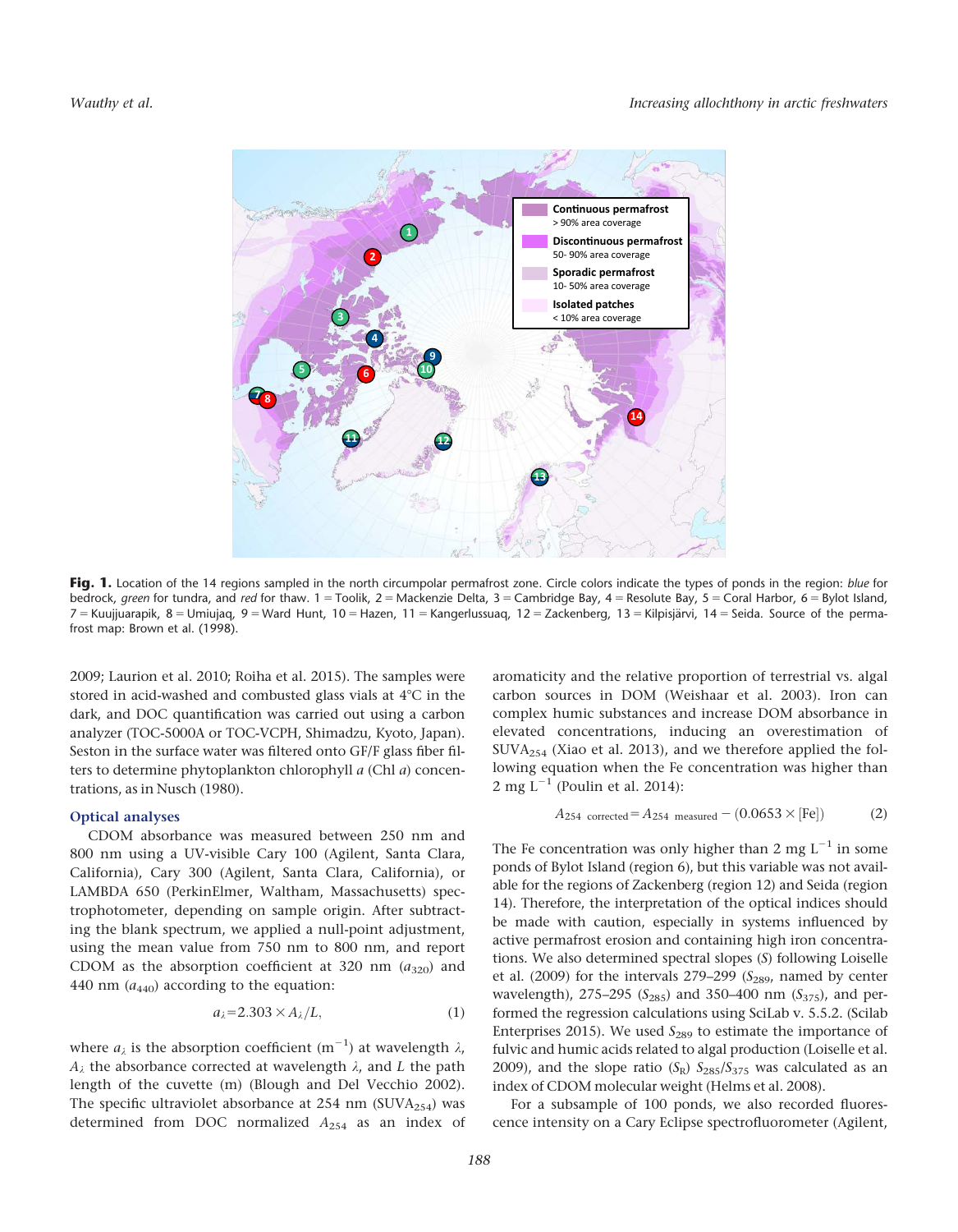

Fig. 1. Location of the 14 regions sampled in the north circumpolar permafrost zone. Circle colors indicate the types of ponds in the region: blue for bedrock, green for tundra, and red for thaw.  $1 =$  Toolik,  $2 =$  Mackenzie Delta,  $3 =$  Cambridge Bay,  $4 =$  Resolute Bay,  $5 =$  Coral Harbor,  $6 =$  Bylot Island, 7 = Kuujjuarapik, 8 = Umiujaq, 9 = Ward Hunt, 10 = Hazen, 11 = Kangerlussuaq, 12 = Zackenberg, 13 = Kilpisjärvi, 14 = Seida. Source of the permafrost map: Brown et al. (1998).

2009; Laurion et al. 2010; Roiha et al. 2015). The samples were stored in acid-washed and combusted glass vials at  $4^{\circ}$ C in the dark, and DOC quantification was carried out using a carbon analyzer (TOC-5000A or TOC-VCPH, Shimadzu, Kyoto, Japan). Seston in the surface water was filtered onto GF/F glass fiber filters to determine phytoplankton chlorophyll a (Chl a) concentrations, as in Nusch (1980).

## Optical analyses

CDOM absorbance was measured between 250 nm and 800 nm using a UV-visible Cary 100 (Agilent, Santa Clara, California), Cary 300 (Agilent, Santa Clara, California), or LAMBDA 650 (PerkinElmer, Waltham, Massachusetts) spectrophotometer, depending on sample origin. After subtracting the blank spectrum, we applied a null-point adjustment, using the mean value from 750 nm to 800 nm, and report CDOM as the absorption coefficient at 320 nm  $(a_{320})$  and 440 nm  $(a_{440})$  according to the equation:

$$
a_{\lambda} = 2.303 \times A_{\lambda}/L, \tag{1}
$$

where  $a_\lambda$  is the absorption coefficient  $(m^{-1})$  at wavelength  $\lambda$ ,  $A_{\lambda}$  the absorbance corrected at wavelength  $\lambda$ , and L the path length of the cuvette (m) (Blough and Del Vecchio 2002). The specific ultraviolet absorbance at 254 nm (SUVA $_{254}$ ) was determined from DOC normalized  $A_{254}$  as an index of

aromaticity and the relative proportion of terrestrial vs. algal carbon sources in DOM (Weishaar et al. 2003). Iron can complex humic substances and increase DOM absorbance in elevated concentrations, inducing an overestimation of SUVA254 (Xiao et al. 2013), and we therefore applied the following equation when the Fe concentration was higher than 2 mg  $L^{-1}$  (Poulin et al. 2014):

$$
A_{254 \text{ corrected}} = A_{254 \text{ measured}} - (0.0653 \times \text{[Fe]})
$$
 (2)

The Fe concentration was only higher than 2 mg  $L^{-1}$  in some ponds of Bylot Island (region 6), but this variable was not available for the regions of Zackenberg (region 12) and Seida (region 14). Therefore, the interpretation of the optical indices should be made with caution, especially in systems influenced by active permafrost erosion and containing high iron concentrations. We also determined spectral slopes (S) following Loiselle et al. (2009) for the intervals  $279-299$  ( $S_{289}$ , named by center wavelength), 275–295 ( $S_{285}$ ) and 350–400 nm ( $S_{375}$ ), and performed the regression calculations using SciLab v. 5.5.2. (Scilab Enterprises 2015). We used  $S_{289}$  to estimate the importance of fulvic and humic acids related to algal production (Loiselle et al. 2009), and the slope ratio  $(S_R)$   $S_{285}/S_{375}$  was calculated as an index of CDOM molecular weight (Helms et al. 2008).

For a subsample of 100 ponds, we also recorded fluorescence intensity on a Cary Eclipse spectrofluorometer (Agilent,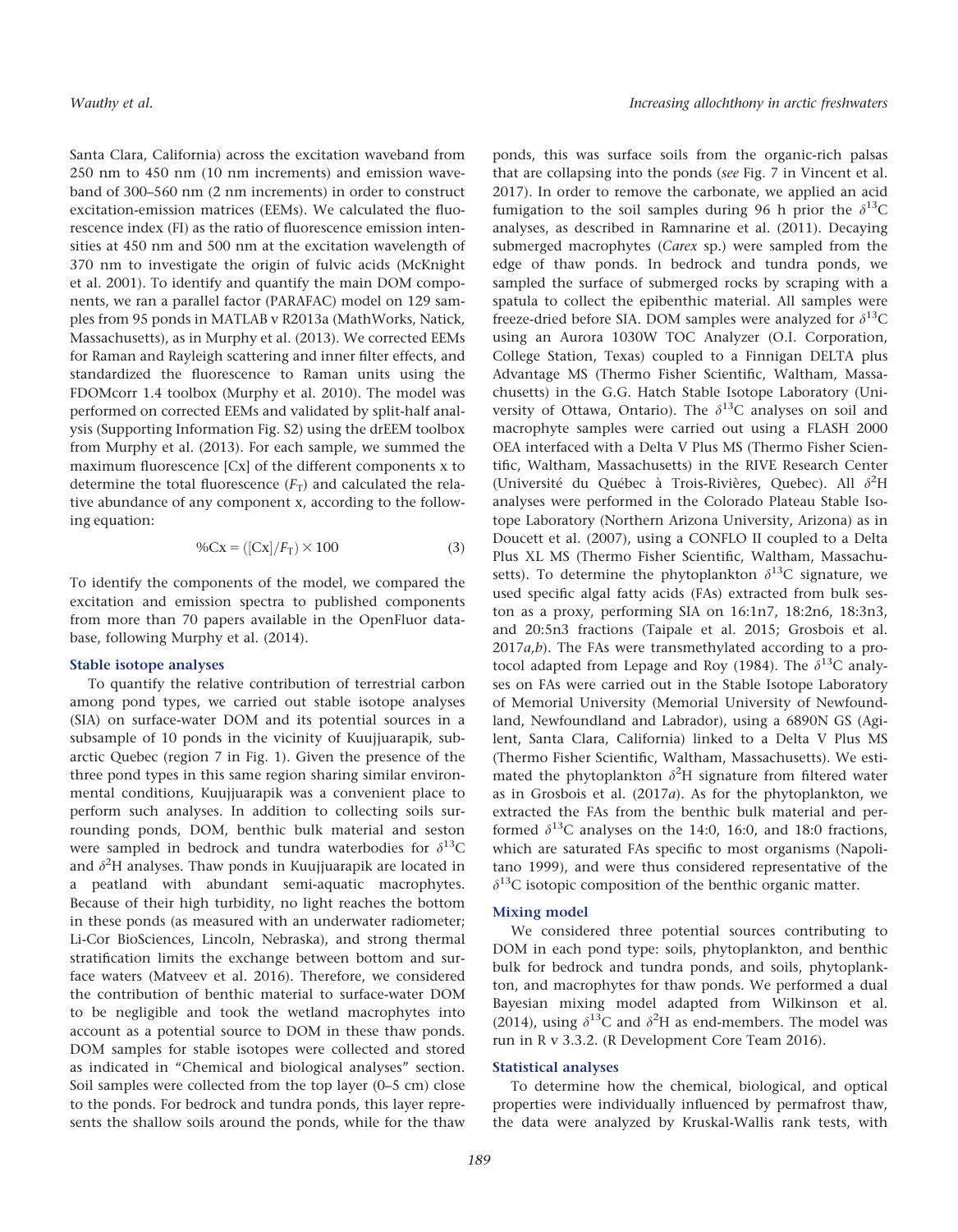Santa Clara, California) across the excitation waveband from 250 nm to 450 nm (10 nm increments) and emission waveband of 300–560 nm (2 nm increments) in order to construct excitation-emission matrices (EEMs). We calculated the fluorescence index (FI) as the ratio of fluorescence emission intensities at 450 nm and 500 nm at the excitation wavelength of 370 nm to investigate the origin of fulvic acids (McKnight et al. 2001). To identify and quantify the main DOM components, we ran a parallel factor (PARAFAC) model on 129 samples from 95 ponds in MATLAB v R2013a (MathWorks, Natick, Massachusetts), as in Murphy et al. (2013). We corrected EEMs for Raman and Rayleigh scattering and inner filter effects, and standardized the fluorescence to Raman units using the FDOMcorr 1.4 toolbox (Murphy et al. 2010). The model was performed on corrected EEMs and validated by split-half analysis (Supporting Information Fig. S2) using the drEEM toolbox from Murphy et al. (2013). For each sample, we summed the maximum fluorescence [Cx] of the different components x to determine the total fluorescence  $(F_T)$  and calculated the relative abundance of any component x, according to the following equation:

$$
\%Cx = ([Cx]/F_T) \times 100\tag{3}
$$

To identify the components of the model, we compared the excitation and emission spectra to published components from more than 70 papers available in the OpenFluor database, following Murphy et al. (2014).

## Stable isotope analyses

To quantify the relative contribution of terrestrial carbon among pond types, we carried out stable isotope analyses (SIA) on surface-water DOM and its potential sources in a subsample of 10 ponds in the vicinity of Kuujjuarapik, subarctic Quebec (region 7 in Fig. 1). Given the presence of the three pond types in this same region sharing similar environmental conditions, Kuujjuarapik was a convenient place to perform such analyses. In addition to collecting soils surrounding ponds, DOM, benthic bulk material and seston were sampled in bedrock and tundra waterbodies for  $\delta^{13}C$ and  $\delta^2$ H analyses. Thaw ponds in Kuujjuarapik are located in a peatland with abundant semi-aquatic macrophytes. Because of their high turbidity, no light reaches the bottom in these ponds (as measured with an underwater radiometer; Li-Cor BioSciences, Lincoln, Nebraska), and strong thermal stratification limits the exchange between bottom and surface waters (Matveev et al. 2016). Therefore, we considered the contribution of benthic material to surface-water DOM to be negligible and took the wetland macrophytes into account as a potential source to DOM in these thaw ponds. DOM samples for stable isotopes were collected and stored as indicated in "Chemical and biological analyses" section. Soil samples were collected from the top layer (0–5 cm) close to the ponds. For bedrock and tundra ponds, this layer represents the shallow soils around the ponds, while for the thaw

ponds, this was surface soils from the organic-rich palsas that are collapsing into the ponds (see Fig. 7 in Vincent et al. 2017). In order to remove the carbonate, we applied an acid fumigation to the soil samples during 96 h prior the  $\delta^{13}C$ analyses, as described in Ramnarine et al. (2011). Decaying submerged macrophytes (Carex sp.) were sampled from the edge of thaw ponds. In bedrock and tundra ponds, we sampled the surface of submerged rocks by scraping with a spatula to collect the epibenthic material. All samples were freeze-dried before SIA. DOM samples were analyzed for  $\delta^{13}C$ using an Aurora 1030W TOC Analyzer (O.I. Corporation, College Station, Texas) coupled to a Finnigan DELTA plus Advantage MS (Thermo Fisher Scientific, Waltham, Massachusetts) in the G.G. Hatch Stable Isotope Laboratory (University of Ottawa, Ontario). The  $\delta^{13}$ C analyses on soil and macrophyte samples were carried out using a FLASH 2000 OEA interfaced with a Delta V Plus MS (Thermo Fisher Scientific, Waltham, Massachusetts) in the RIVE Research Center (Université du Québec à Trois-Rivières, Quebec). All  $\delta^2$ H analyses were performed in the Colorado Plateau Stable Isotope Laboratory (Northern Arizona University, Arizona) as in Doucett et al. (2007), using a CONFLO II coupled to a Delta Plus XL MS (Thermo Fisher Scientific, Waltham, Massachusetts). To determine the phytoplankton  $\delta^{13}$ C signature, we used specific algal fatty acids (FAs) extracted from bulk seston as a proxy, performing SIA on 16:1n7, 18:2n6, 18:3n3, and 20:5n3 fractions (Taipale et al. 2015; Grosbois et al.  $2017a,b$ ). The FAs were transmethylated according to a protocol adapted from Lepage and Roy (1984). The  $\delta^{13}$ C analyses on FAs were carried out in the Stable Isotope Laboratory of Memorial University (Memorial University of Newfoundland, Newfoundland and Labrador), using a 6890N GS (Agilent, Santa Clara, California) linked to a Delta V Plus MS (Thermo Fisher Scientific, Waltham, Massachusetts). We estimated the phytoplankton  $\delta^2$ H signature from filtered water as in Grosbois et al. (2017a). As for the phytoplankton, we extracted the FAs from the benthic bulk material and performed  $\delta^{13}$ C analyses on the 14:0, 16:0, and 18:0 fractions, which are saturated FAs specific to most organisms (Napolitano 1999), and were thus considered representative of the  $\delta^{13}$ C isotopic composition of the benthic organic matter.

#### Mixing model

We considered three potential sources contributing to DOM in each pond type: soils, phytoplankton, and benthic bulk for bedrock and tundra ponds, and soils, phytoplankton, and macrophytes for thaw ponds. We performed a dual Bayesian mixing model adapted from Wilkinson et al. (2014), using  $\delta^{13}$ C and  $\delta^2$ H as end-members. The model was run in R v 3.3.2. (R Development Core Team 2016).

### Statistical analyses

To determine how the chemical, biological, and optical properties were individually influenced by permafrost thaw, the data were analyzed by Kruskal-Wallis rank tests, with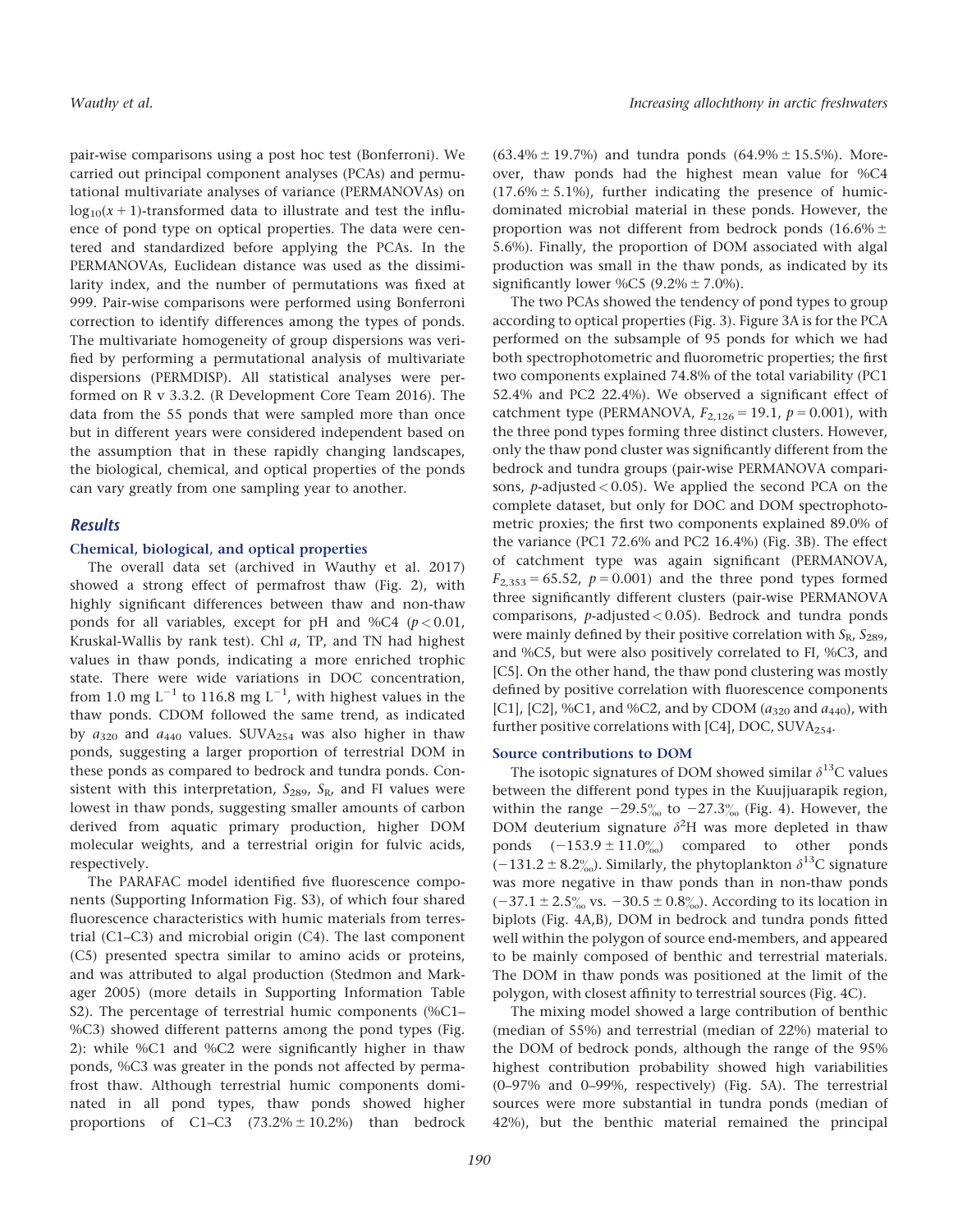pair-wise comparisons using a post hoc test (Bonferroni). We carried out principal component analyses (PCAs) and permutational multivariate analyses of variance (PERMANOVAs) on  $log_{10}(x + 1)$ -transformed data to illustrate and test the influence of pond type on optical properties. The data were centered and standardized before applying the PCAs. In the PERMANOVAs, Euclidean distance was used as the dissimilarity index, and the number of permutations was fixed at 999. Pair-wise comparisons were performed using Bonferroni correction to identify differences among the types of ponds. The multivariate homogeneity of group dispersions was verified by performing a permutational analysis of multivariate dispersions (PERMDISP). All statistical analyses were performed on R v 3.3.2. (R Development Core Team 2016). The data from the 55 ponds that were sampled more than once but in different years were considered independent based on the assumption that in these rapidly changing landscapes, the biological, chemical, and optical properties of the ponds can vary greatly from one sampling year to another.

## Results

#### Chemical, biological, and optical properties

The overall data set (archived in Wauthy et al. 2017) showed a strong effect of permafrost thaw (Fig. 2), with highly significant differences between thaw and non-thaw ponds for all variables, except for pH and %C4 ( $p < 0.01$ , Kruskal-Wallis by rank test). Chl a, TP, and TN had highest values in thaw ponds, indicating a more enriched trophic state. There were wide variations in DOC concentration, from 1.0 mg L<sup>-1</sup> to 116.8 mg L<sup>-1</sup>, with highest values in the thaw ponds. CDOM followed the same trend, as indicated by  $a_{320}$  and  $a_{440}$  values. SUVA<sub>254</sub> was also higher in thaw ponds, suggesting a larger proportion of terrestrial DOM in these ponds as compared to bedrock and tundra ponds. Consistent with this interpretation,  $S_{289}$ ,  $S_{R}$ , and FI values were lowest in thaw ponds, suggesting smaller amounts of carbon derived from aquatic primary production, higher DOM molecular weights, and a terrestrial origin for fulvic acids, respectively.

The PARAFAC model identified five fluorescence components (Supporting Information Fig. S3), of which four shared fluorescence characteristics with humic materials from terrestrial (C1–C3) and microbial origin (C4). The last component (C5) presented spectra similar to amino acids or proteins, and was attributed to algal production (Stedmon and Markager 2005) (more details in Supporting Information Table S2). The percentage of terrestrial humic components (%C1– %C3) showed different patterns among the pond types (Fig. 2): while %C1 and %C2 were significantly higher in thaw ponds, %C3 was greater in the ponds not affected by permafrost thaw. Although terrestrial humic components dominated in all pond types, thaw ponds showed higher proportions of C1–C3  $(73.2\% \pm 10.2\%)$  than bedrock  $(63.4\% \pm 19.7\%)$  and tundra ponds  $(64.9\% \pm 15.5\%).$  Moreover, thaw ponds had the highest mean value for %C4  $(17.6\% \pm 5.1\%)$ , further indicating the presence of humicdominated microbial material in these ponds. However, the proportion was not different from bedrock ponds (16.6%  $\pm$ 5.6%). Finally, the proportion of DOM associated with algal production was small in the thaw ponds, as indicated by its significantly lower %C5 (9.2%  $\pm$  7.0%).

The two PCAs showed the tendency of pond types to group according to optical properties (Fig. 3). Figure 3A is for the PCA performed on the subsample of 95 ponds for which we had both spectrophotometric and fluorometric properties; the first two components explained 74.8% of the total variability (PC1 52.4% and PC2 22.4%). We observed a significant effect of catchment type (PERMANOVA,  $F_{2,126} = 19.1$ ,  $p = 0.001$ ), with the three pond types forming three distinct clusters. However, only the thaw pond cluster was significantly different from the bedrock and tundra groups (pair-wise PERMANOVA comparisons, *p*-adjusted  $< 0.05$ ). We applied the second PCA on the complete dataset, but only for DOC and DOM spectrophotometric proxies; the first two components explained 89.0% of the variance (PC1 72.6% and PC2 16.4%) (Fig. 3B). The effect of catchment type was again significant (PERMANOVA,  $F_{2,353} = 65.52$ ,  $p = 0.001$ ) and the three pond types formed three significantly different clusters (pair-wise PERMANOVA comparisons,  $p$ -adjusted < 0.05). Bedrock and tundra ponds were mainly defined by their positive correlation with  $S_R$ ,  $S_{289}$ , and %C5, but were also positively correlated to FI, %C3, and [C5]. On the other hand, the thaw pond clustering was mostly defined by positive correlation with fluorescence components [C1], [C2], %C1, and %C2, and by CDOM ( $a_{320}$  and  $a_{440}$ ), with further positive correlations with [C4], DOC, SUVA<sub>254</sub>.

#### Source contributions to DOM

The isotopic signatures of DOM showed similar  $\delta^{13}$ C values between the different pond types in the Kuujjuarapik region, within the range  $-29.5\%$  to  $-27.3\%$  (Fig. 4). However, the DOM deuterium signature  $\delta^2$ H was more depleted in thaw ponds  $(-153.9 \pm 11.0\%)$  compared to other ponds  $(-131.2 \pm 8.2\%)$ . Similarly, the phytoplankton  $\delta^{13}$ C signature was more negative in thaw ponds than in non-thaw ponds  $(-37.1 \pm 2.5\% \text{ vs. } -30.5 \pm 0.8\% \text{).$  According to its location in biplots (Fig. 4A,B), DOM in bedrock and tundra ponds fitted well within the polygon of source end-members, and appeared to be mainly composed of benthic and terrestrial materials. The DOM in thaw ponds was positioned at the limit of the polygon, with closest affinity to terrestrial sources (Fig. 4C).

The mixing model showed a large contribution of benthic (median of 55%) and terrestrial (median of 22%) material to the DOM of bedrock ponds, although the range of the 95% highest contribution probability showed high variabilities (0–97% and 0–99%, respectively) (Fig. 5A). The terrestrial sources were more substantial in tundra ponds (median of 42%), but the benthic material remained the principal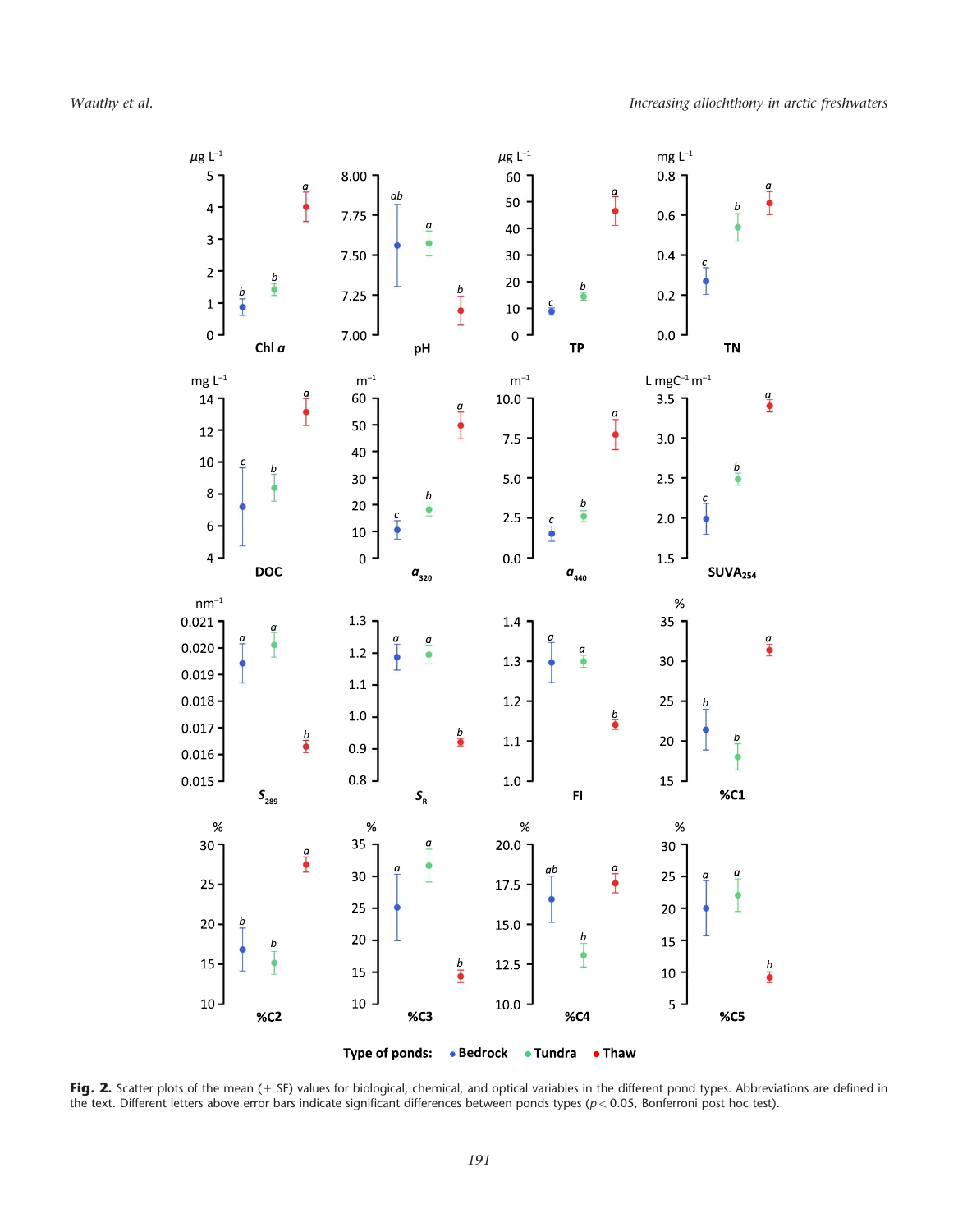

Fig. 2. Scatter plots of the mean (+ SE) values for biological, chemical, and optical variables in the different pond types. Abbreviations are defined in the text. Different letters above error bars indicate significant differences between ponds types ( $p < 0.05$ , Bonferroni post hoc test).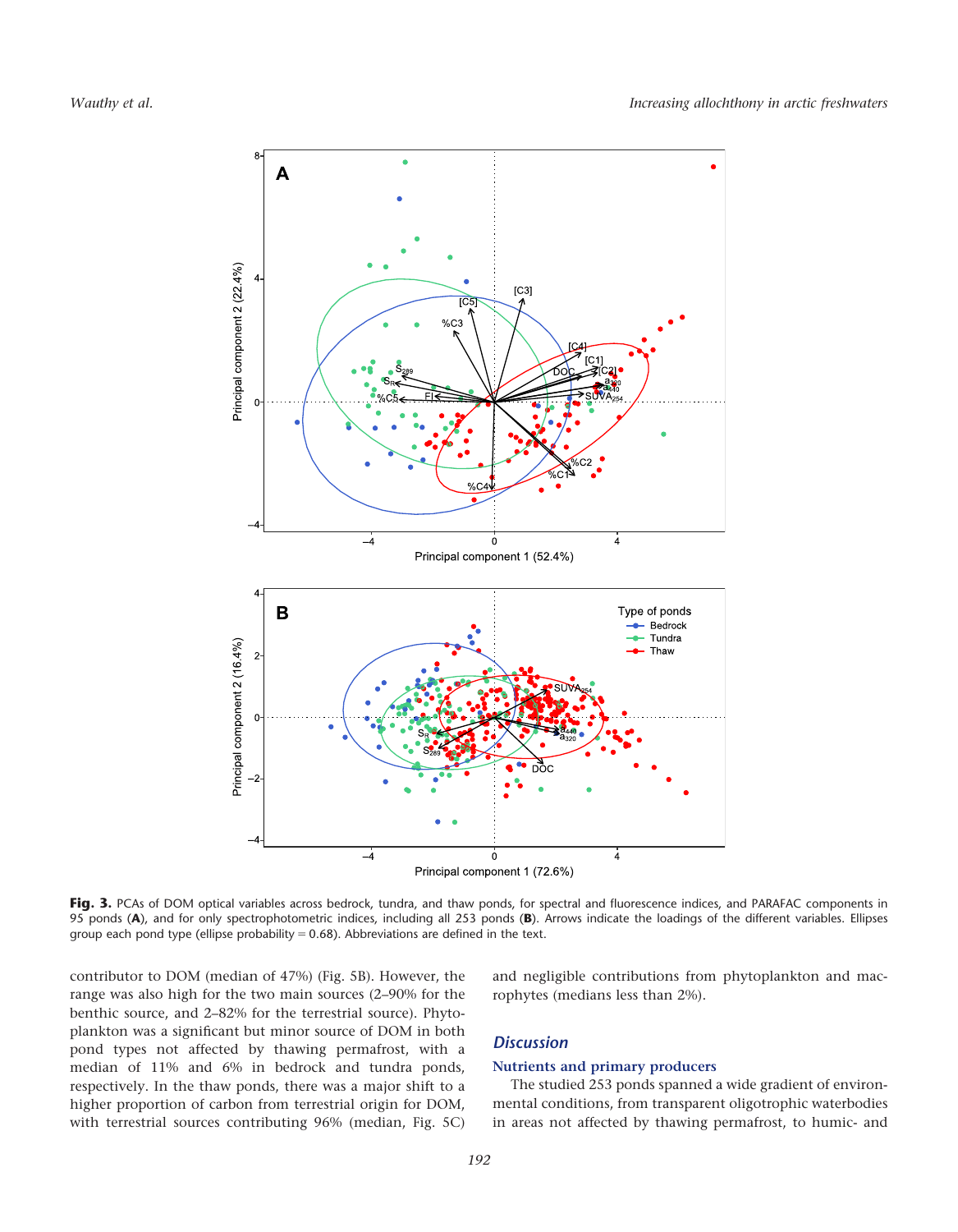

Fig. 3. PCAs of DOM optical variables across bedrock, tundra, and thaw ponds, for spectral and fluorescence indices, and PARAFAC components in 95 ponds (A), and for only spectrophotometric indices, including all 253 ponds (B). Arrows indicate the loadings of the different variables. Ellipses group each pond type (ellipse probability =  $0.68$ ). Abbreviations are defined in the text.

contributor to DOM (median of 47%) (Fig. 5B). However, the range was also high for the two main sources (2–90% for the benthic source, and 2–82% for the terrestrial source). Phytoplankton was a significant but minor source of DOM in both pond types not affected by thawing permafrost, with a median of 11% and 6% in bedrock and tundra ponds, respectively. In the thaw ponds, there was a major shift to a higher proportion of carbon from terrestrial origin for DOM, with terrestrial sources contributing 96% (median, Fig. 5C) and negligible contributions from phytoplankton and macrophytes (medians less than 2%).

# **Discussion**

#### Nutrients and primary producers

The studied 253 ponds spanned a wide gradient of environmental conditions, from transparent oligotrophic waterbodies in areas not affected by thawing permafrost, to humic- and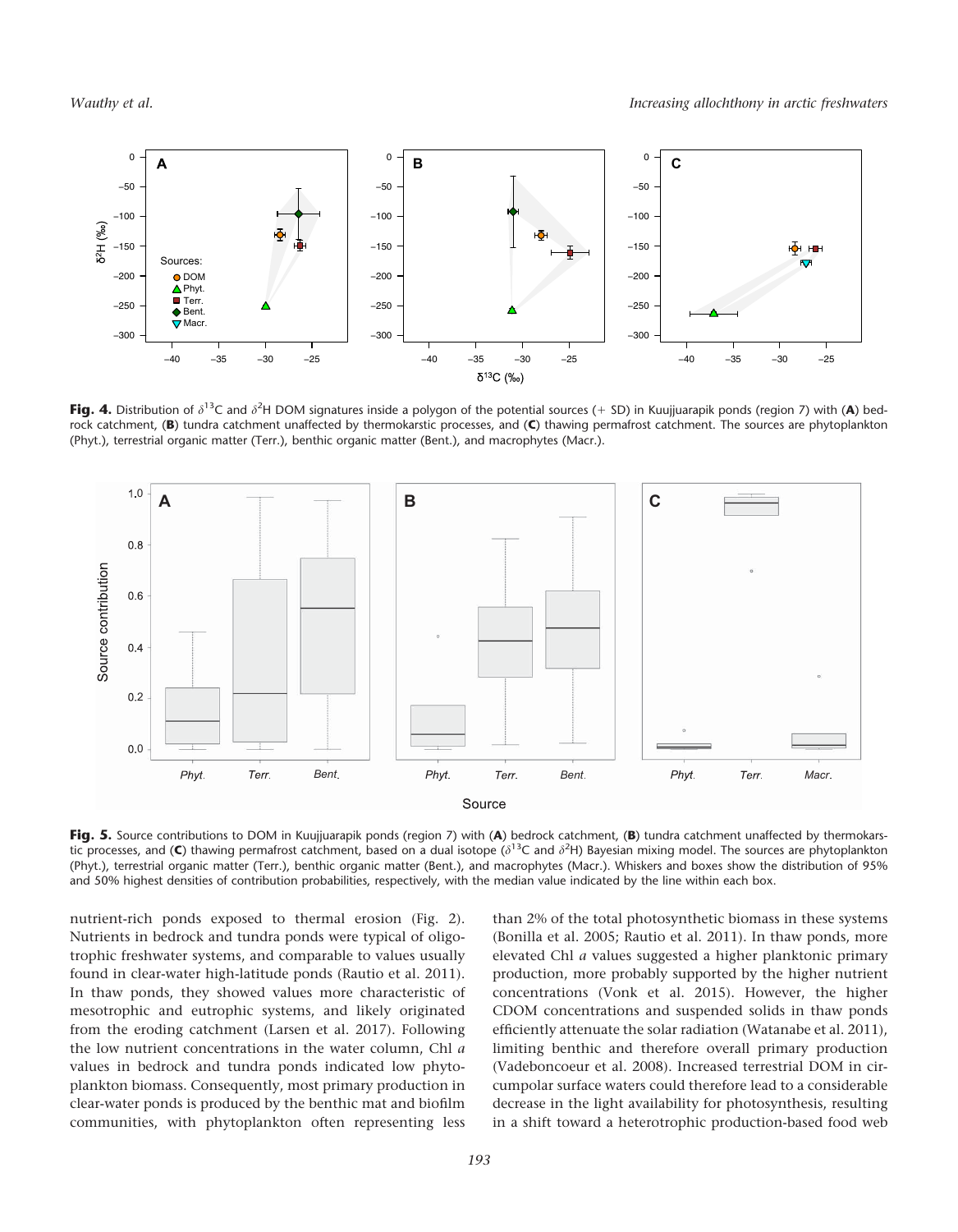

Fig. 4. Distribution of  $\delta^{13}C$  and  $\delta^{2}H$  DOM signatures inside a polygon of the potential sources (+ SD) in Kuujjuarapik ponds (region 7) with (A) bedrock catchment, (B) tundra catchment unaffected by thermokarstic processes, and (C) thawing permafrost catchment. The sources are phytoplankton (Phyt.), terrestrial organic matter (Terr.), benthic organic matter (Bent.), and macrophytes (Macr.).



Fig. 5. Source contributions to DOM in Kuujjuarapik ponds (region 7) with (A) bedrock catchment, (B) tundra catchment unaffected by thermokarstic processes, and (C) thawing permafrost catchment, based on a dual isotope ( $\delta^{13}$ C and  $\delta^{2}$ H) Bayesian mixing model. The sources are phytoplankton (Phyt.), terrestrial organic matter (Terr.), benthic organic matter (Bent.), and macrophytes (Macr.). Whiskers and boxes show the distribution of 95% and 50% highest densities of contribution probabilities, respectively, with the median value indicated by the line within each box.

nutrient-rich ponds exposed to thermal erosion (Fig. 2). Nutrients in bedrock and tundra ponds were typical of oligotrophic freshwater systems, and comparable to values usually found in clear-water high-latitude ponds (Rautio et al. 2011). In thaw ponds, they showed values more characteristic of mesotrophic and eutrophic systems, and likely originated from the eroding catchment (Larsen et al. 2017). Following the low nutrient concentrations in the water column, Chl a values in bedrock and tundra ponds indicated low phytoplankton biomass. Consequently, most primary production in clear-water ponds is produced by the benthic mat and biofilm communities, with phytoplankton often representing less

than 2% of the total photosynthetic biomass in these systems (Bonilla et al. 2005; Rautio et al. 2011). In thaw ponds, more elevated Chl a values suggested a higher planktonic primary production, more probably supported by the higher nutrient concentrations (Vonk et al. 2015). However, the higher CDOM concentrations and suspended solids in thaw ponds efficiently attenuate the solar radiation (Watanabe et al. 2011), limiting benthic and therefore overall primary production (Vadeboncoeur et al. 2008). Increased terrestrial DOM in circumpolar surface waters could therefore lead to a considerable decrease in the light availability for photosynthesis, resulting in a shift toward a heterotrophic production-based food web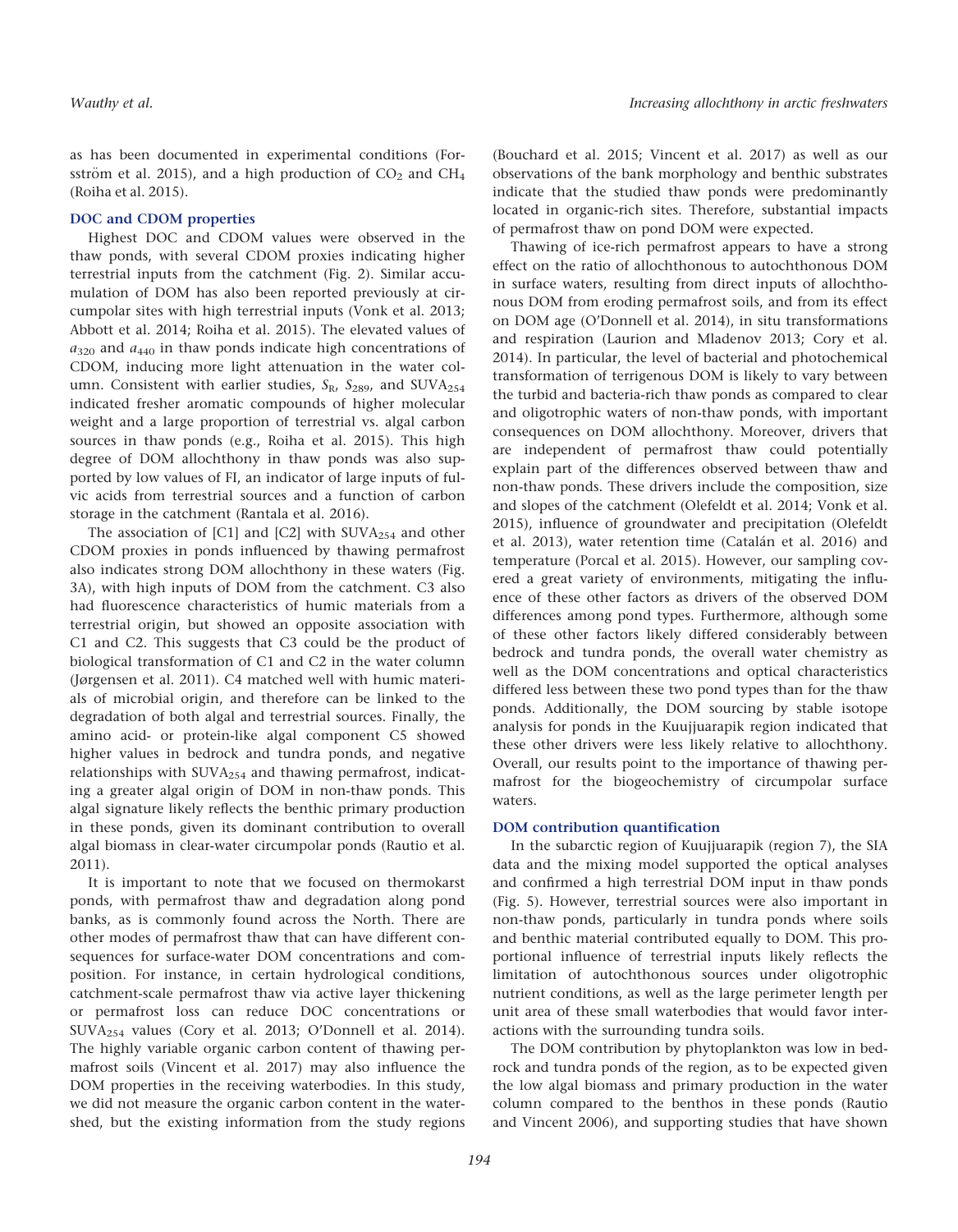as has been documented in experimental conditions (Forsström et al. 2015), and a high production of  $CO<sub>2</sub>$  and  $CH<sub>4</sub>$ (Roiha et al. 2015).

## DOC and CDOM properties

Highest DOC and CDOM values were observed in the thaw ponds, with several CDOM proxies indicating higher terrestrial inputs from the catchment (Fig. 2). Similar accumulation of DOM has also been reported previously at circumpolar sites with high terrestrial inputs (Vonk et al. 2013; Abbott et al. 2014; Roiha et al. 2015). The elevated values of  $a_{320}$  and  $a_{440}$  in thaw ponds indicate high concentrations of CDOM, inducing more light attenuation in the water column. Consistent with earlier studies,  $S_{R}$ ,  $S_{289}$ , and SUVA<sub>254</sub> indicated fresher aromatic compounds of higher molecular weight and a large proportion of terrestrial vs. algal carbon sources in thaw ponds (e.g., Roiha et al. 2015). This high degree of DOM allochthony in thaw ponds was also supported by low values of FI, an indicator of large inputs of fulvic acids from terrestrial sources and a function of carbon storage in the catchment (Rantala et al. 2016).

The association of [C1] and [C2] with SUVA<sub>254</sub> and other CDOM proxies in ponds influenced by thawing permafrost also indicates strong DOM allochthony in these waters (Fig. 3A), with high inputs of DOM from the catchment. C3 also had fluorescence characteristics of humic materials from a terrestrial origin, but showed an opposite association with C1 and C2. This suggests that C3 could be the product of biological transformation of C1 and C2 in the water column (Jørgensen et al. 2011). C4 matched well with humic materials of microbial origin, and therefore can be linked to the degradation of both algal and terrestrial sources. Finally, the amino acid- or protein-like algal component C5 showed higher values in bedrock and tundra ponds, and negative relationships with  $\text{SUVA}_{254}$  and thawing permafrost, indicating a greater algal origin of DOM in non-thaw ponds. This algal signature likely reflects the benthic primary production in these ponds, given its dominant contribution to overall algal biomass in clear-water circumpolar ponds (Rautio et al. 2011).

It is important to note that we focused on thermokarst ponds, with permafrost thaw and degradation along pond banks, as is commonly found across the North. There are other modes of permafrost thaw that can have different consequences for surface-water DOM concentrations and composition. For instance, in certain hydrological conditions, catchment-scale permafrost thaw via active layer thickening or permafrost loss can reduce DOC concentrations or SUVA254 values (Cory et al. 2013; O'Donnell et al. 2014). The highly variable organic carbon content of thawing permafrost soils (Vincent et al. 2017) may also influence the DOM properties in the receiving waterbodies. In this study, we did not measure the organic carbon content in the watershed, but the existing information from the study regions

(Bouchard et al. 2015; Vincent et al. 2017) as well as our observations of the bank morphology and benthic substrates indicate that the studied thaw ponds were predominantly located in organic-rich sites. Therefore, substantial impacts of permafrost thaw on pond DOM were expected.

Thawing of ice-rich permafrost appears to have a strong effect on the ratio of allochthonous to autochthonous DOM in surface waters, resulting from direct inputs of allochthonous DOM from eroding permafrost soils, and from its effect on DOM age (O'Donnell et al. 2014), in situ transformations and respiration (Laurion and Mladenov 2013; Cory et al. 2014). In particular, the level of bacterial and photochemical transformation of terrigenous DOM is likely to vary between the turbid and bacteria-rich thaw ponds as compared to clear and oligotrophic waters of non-thaw ponds, with important consequences on DOM allochthony. Moreover, drivers that are independent of permafrost thaw could potentially explain part of the differences observed between thaw and non-thaw ponds. These drivers include the composition, size and slopes of the catchment (Olefeldt et al. 2014; Vonk et al. 2015), influence of groundwater and precipitation (Olefeldt et al. 2013), water retention time (Catalán et al. 2016) and temperature (Porcal et al. 2015). However, our sampling covered a great variety of environments, mitigating the influence of these other factors as drivers of the observed DOM differences among pond types. Furthermore, although some of these other factors likely differed considerably between bedrock and tundra ponds, the overall water chemistry as well as the DOM concentrations and optical characteristics differed less between these two pond types than for the thaw ponds. Additionally, the DOM sourcing by stable isotope analysis for ponds in the Kuujjuarapik region indicated that these other drivers were less likely relative to allochthony. Overall, our results point to the importance of thawing permafrost for the biogeochemistry of circumpolar surface waters.

#### DOM contribution quantification

In the subarctic region of Kuujjuarapik (region 7), the SIA data and the mixing model supported the optical analyses and confirmed a high terrestrial DOM input in thaw ponds (Fig. 5). However, terrestrial sources were also important in non-thaw ponds, particularly in tundra ponds where soils and benthic material contributed equally to DOM. This proportional influence of terrestrial inputs likely reflects the limitation of autochthonous sources under oligotrophic nutrient conditions, as well as the large perimeter length per unit area of these small waterbodies that would favor interactions with the surrounding tundra soils.

The DOM contribution by phytoplankton was low in bedrock and tundra ponds of the region, as to be expected given the low algal biomass and primary production in the water column compared to the benthos in these ponds (Rautio and Vincent 2006), and supporting studies that have shown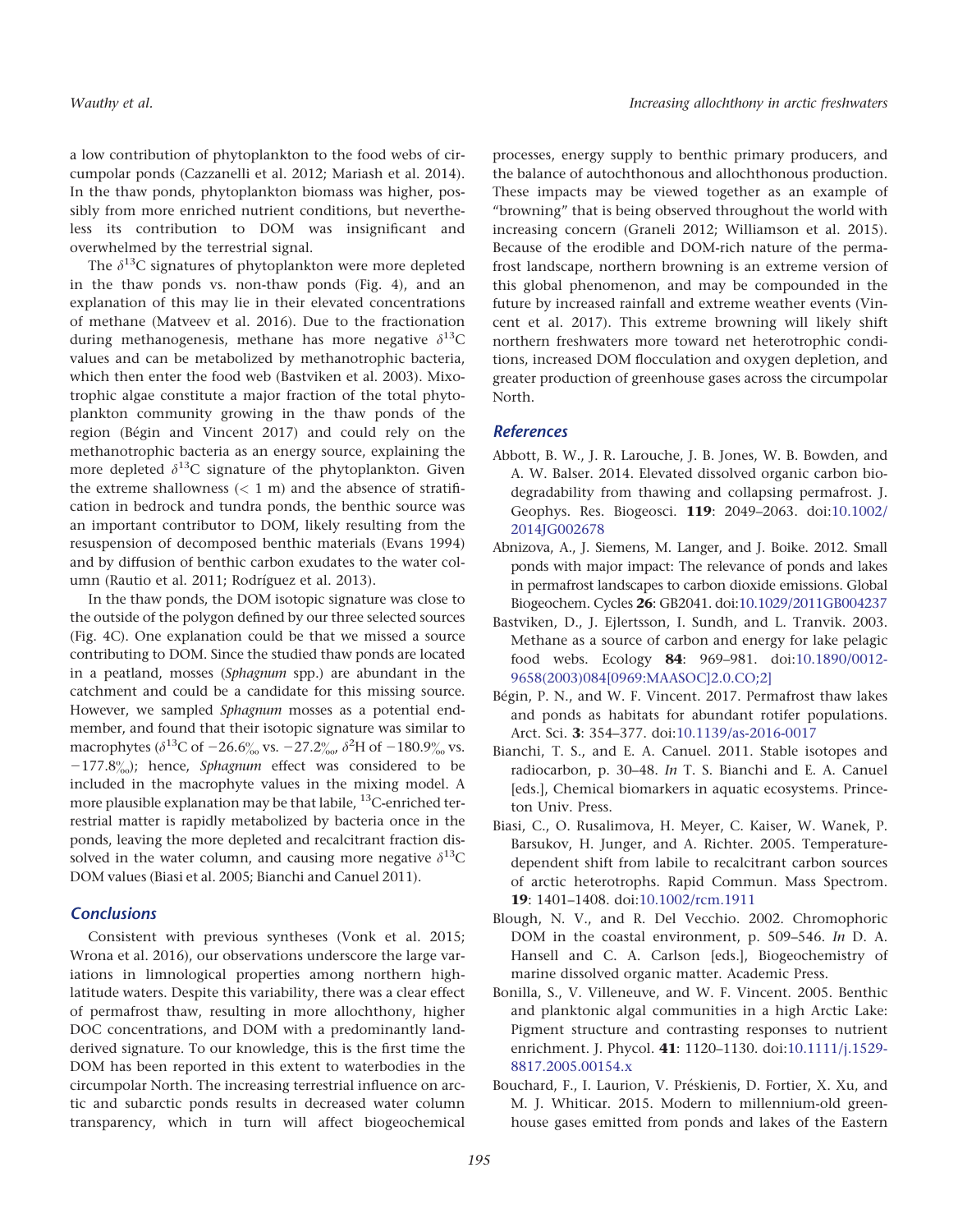Wauthy et al. Increasing allochthony in arctic freshwaters

a low contribution of phytoplankton to the food webs of circumpolar ponds (Cazzanelli et al. 2012; Mariash et al. 2014). In the thaw ponds, phytoplankton biomass was higher, possibly from more enriched nutrient conditions, but nevertheless its contribution to DOM was insignificant and overwhelmed by the terrestrial signal.

The  $\delta^{13}$ C signatures of phytoplankton were more depleted in the thaw ponds vs. non-thaw ponds (Fig. 4), and an explanation of this may lie in their elevated concentrations of methane (Matveev et al. 2016). Due to the fractionation during methanogenesis, methane has more negative  $\delta^{13}C$ values and can be metabolized by methanotrophic bacteria, which then enter the food web (Bastviken et al. 2003). Mixotrophic algae constitute a major fraction of the total phytoplankton community growing in the thaw ponds of the region (Bégin and Vincent 2017) and could rely on the methanotrophic bacteria as an energy source, explaining the more depleted  $\delta^{13}C$  signature of the phytoplankton. Given the extreme shallowness  $(< 1 \text{ m})$  and the absence of stratification in bedrock and tundra ponds, the benthic source was an important contributor to DOM, likely resulting from the resuspension of decomposed benthic materials (Evans 1994) and by diffusion of benthic carbon exudates to the water column (Rautio et al. 2011; Rodríguez et al. 2013).

In the thaw ponds, the DOM isotopic signature was close to the outside of the polygon defined by our three selected sources (Fig. 4C). One explanation could be that we missed a source contributing to DOM. Since the studied thaw ponds are located in a peatland, mosses (Sphagnum spp.) are abundant in the catchment and could be a candidate for this missing source. However, we sampled Sphagnum mosses as a potential endmember, and found that their isotopic signature was similar to macrophytes ( $\delta^{13}$ C of  $-26.6\%$  vs.  $-27.2\%$   $\delta^{2}$ H of  $-180.9\%$  vs.  $-177.8\%$ ); hence, Sphagnum effect was considered to be included in the macrophyte values in the mixing model. A more plausible explanation may be that labile,  $^{13}$ C-enriched terrestrial matter is rapidly metabolized by bacteria once in the ponds, leaving the more depleted and recalcitrant fraction dissolved in the water column, and causing more negative  $\delta^{13}C$ DOM values (Biasi et al. 2005; Bianchi and Canuel 2011).

# **Conclusions**

Consistent with previous syntheses (Vonk et al. 2015; Wrona et al. 2016), our observations underscore the large variations in limnological properties among northern highlatitude waters. Despite this variability, there was a clear effect of permafrost thaw, resulting in more allochthony, higher DOC concentrations, and DOM with a predominantly landderived signature. To our knowledge, this is the first time the DOM has been reported in this extent to waterbodies in the circumpolar North. The increasing terrestrial influence on arctic and subarctic ponds results in decreased water column transparency, which in turn will affect biogeochemical

processes, energy supply to benthic primary producers, and the balance of autochthonous and allochthonous production. These impacts may be viewed together as an example of "browning" that is being observed throughout the world with increasing concern (Graneli 2012; Williamson et al. 2015). Because of the erodible and DOM-rich nature of the permafrost landscape, northern browning is an extreme version of this global phenomenon, and may be compounded in the future by increased rainfall and extreme weather events (Vincent et al. 2017). This extreme browning will likely shift northern freshwaters more toward net heterotrophic conditions, increased DOM flocculation and oxygen depletion, and greater production of greenhouse gases across the circumpolar North.

## References

- Abbott, B. W., J. R. Larouche, J. B. Jones, W. B. Bowden, and A. W. Balser. 2014. Elevated dissolved organic carbon biodegradability from thawing and collapsing permafrost. J. Geophys. Res. Biogeosci. 119: 2049–2063. doi:[10.1002/](http://dx.doi.org/10.1002/2014JG002678) [2014JG002678](http://dx.doi.org/10.1002/2014JG002678)
- Abnizova, A., J. Siemens, M. Langer, and J. Boike. 2012. Small ponds with major impact: The relevance of ponds and lakes in permafrost landscapes to carbon dioxide emissions. Global Biogeochem. Cycles 26: GB2041. doi[:10.1029/2011GB004237](http://dx.doi.org/10.1029/2011GB004237)
- Bastviken, D., J. Ejlertsson, I. Sundh, and L. Tranvik. 2003. Methane as a source of carbon and energy for lake pelagic food webs. Ecology 84: 969–981. doi[:10.1890/0012-](http://dx.doi.org/10.1890/0012-9658(2003)084[0969:MAASOC]2.0.CO;2]) [9658\(2003\)084\[0969:MAASOC\]2.0.CO;2\]](http://dx.doi.org/10.1890/0012-9658(2003)084[0969:MAASOC]2.0.CO;2])
- Bégin, P. N., and W. F. Vincent. 2017. Permafrost thaw lakes and ponds as habitats for abundant rotifer populations. Arct. Sci. 3: 354–377. doi:[10.1139/as-2016-0017](http://dx.doi.org/10.1139/as-2016-0017)
- Bianchi, T. S., and E. A. Canuel. 2011. Stable isotopes and radiocarbon, p. 30–48. In T. S. Bianchi and E. A. Canuel [eds.], Chemical biomarkers in aquatic ecosystems. Princeton Univ. Press.
- Biasi, C., O. Rusalimova, H. Meyer, C. Kaiser, W. Wanek, P. Barsukov, H. Junger, and A. Richter. 2005. Temperaturedependent shift from labile to recalcitrant carbon sources of arctic heterotrophs. Rapid Commun. Mass Spectrom. 19: 1401–1408. doi[:10.1002/rcm.1911](http://dx.doi.org/10.1002/rcm.1911)
- Blough, N. V., and R. Del Vecchio. 2002. Chromophoric DOM in the coastal environment, p. 509–546. In D. A. Hansell and C. A. Carlson [eds.], Biogeochemistry of marine dissolved organic matter. Academic Press.
- Bonilla, S., V. Villeneuve, and W. F. Vincent. 2005. Benthic and planktonic algal communities in a high Arctic Lake: Pigment structure and contrasting responses to nutrient enrichment. J. Phycol. 41: 1120–1130. doi:[10.1111/j.1529-](http://dx.doi.org/10.1111/j.1529-8817.2005.00154.x) [8817.2005.00154.x](http://dx.doi.org/10.1111/j.1529-8817.2005.00154.x)
- Bouchard, F., I. Laurion, V. Préskienis, D. Fortier, X. Xu, and M. J. Whiticar. 2015. Modern to millennium-old greenhouse gases emitted from ponds and lakes of the Eastern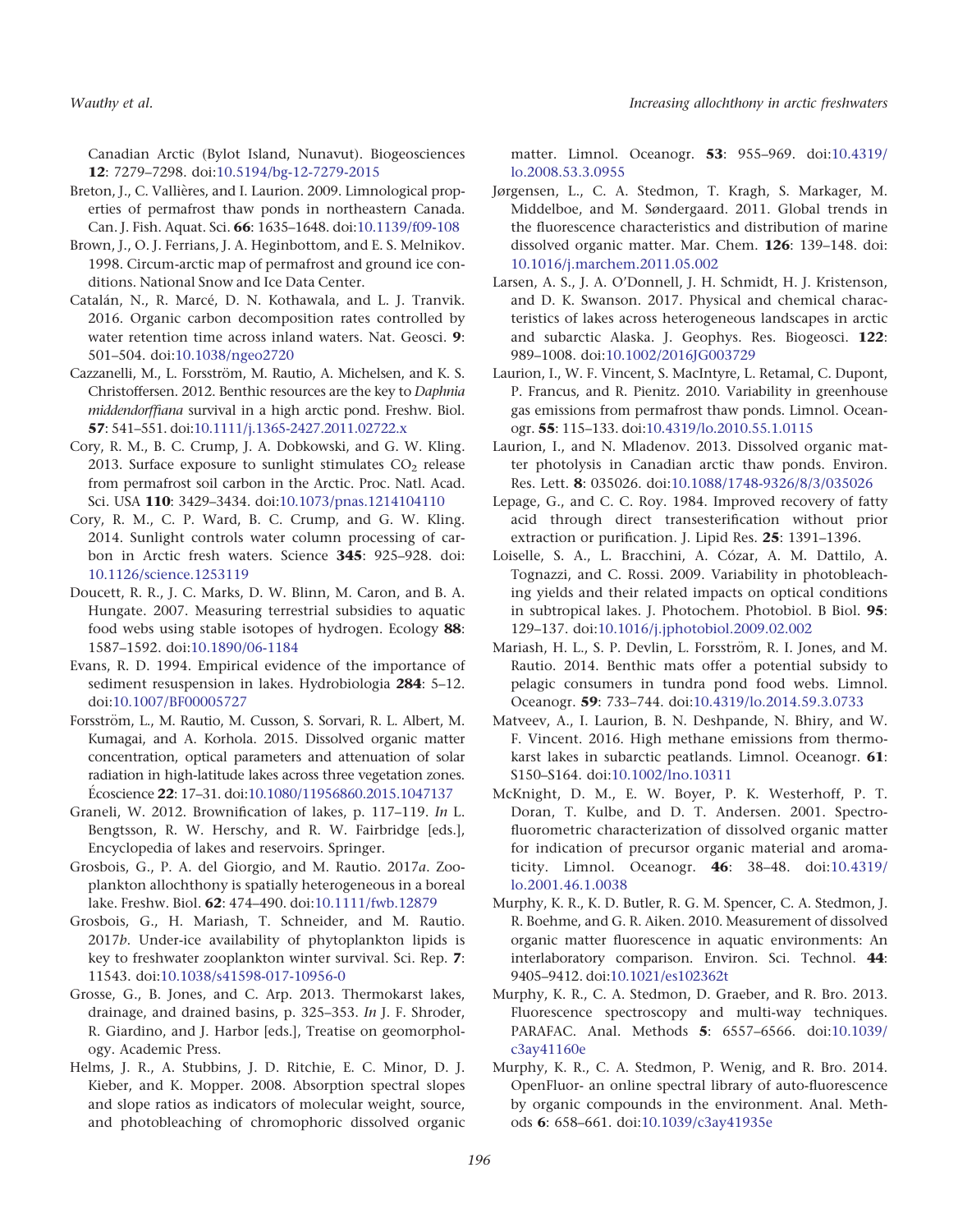Canadian Arctic (Bylot Island, Nunavut). Biogeosciences 12: 7279–7298. doi[:10.5194/bg-12-7279-2015](http://dx.doi.org/10.5194/bg-12-7279-2015)

- Breton, J., C. Vallières, and I. Laurion. 2009. Limnological properties of permafrost thaw ponds in northeastern Canada. Can. J. Fish. Aquat. Sci. 66: 1635–1648. doi:[10.1139/f09-108](http://dx.doi.org/10.1139/f09-108)
- Brown, J., O. J. Ferrians, J. A. Heginbottom, and E. S. Melnikov. 1998. Circum-arctic map of permafrost and ground ice conditions. National Snow and Ice Data Center.
- Catalán, N., R. Marcé, D. N. Kothawala, and L. J. Tranvik. 2016. Organic carbon decomposition rates controlled by water retention time across inland waters. Nat. Geosci. 9: 501–504. doi[:10.1038/ngeo2720](http://dx.doi.org/10.1038/ngeo2720)
- Cazzanelli, M., L. Forsström, M. Rautio, A. Michelsen, and K. S. Christoffersen. 2012. Benthic resources are the key to Daphnia middendorffiana survival in a high arctic pond. Freshw. Biol. 57: 541–551. doi:[10.1111/j.1365-2427.2011.02722.x](http://dx.doi.org/10.1111/j.1365-2427.2011.02722.x)
- Cory, R. M., B. C. Crump, J. A. Dobkowski, and G. W. Kling. 2013. Surface exposure to sunlight stimulates  $CO<sub>2</sub>$  release from permafrost soil carbon in the Arctic. Proc. Natl. Acad. Sci. USA 110: 3429–3434. doi:[10.1073/pnas.1214104110](http://dx.doi.org/10.1073/pnas.1214104110)
- Cory, R. M., C. P. Ward, B. C. Crump, and G. W. Kling. 2014. Sunlight controls water column processing of carbon in Arctic fresh waters. Science 345: 925–928. doi: [10.1126/science.1253119](http://dx.doi.org/10.1126/science.1253119)
- Doucett, R. R., J. C. Marks, D. W. Blinn, M. Caron, and B. A. Hungate. 2007. Measuring terrestrial subsidies to aquatic food webs using stable isotopes of hydrogen. Ecology 88: 1587–1592. doi:[10.1890/06-1184](http://dx.doi.org/10.1890/06-1184)
- Evans, R. D. 1994. Empirical evidence of the importance of sediment resuspension in lakes. Hydrobiologia 284: 5–12. doi[:10.1007/BF00005727](http://dx.doi.org/10.1007/BF00005727)
- Forsström, L., M. Rautio, M. Cusson, S. Sorvari, R. L. Albert, M. Kumagai, and A. Korhola. 2015. Dissolved organic matter concentration, optical parameters and attenuation of solar radiation in high-latitude lakes across three vegetation zones. Écoscience 22: 17-31. doi[:10.1080/11956860.2015.1047137](http://dx.doi.org/10.1080/11956860.2015.1047137)
- Graneli, W. 2012. Brownification of lakes, p. 117–119. In L. Bengtsson, R. W. Herschy, and R. W. Fairbridge [eds.], Encyclopedia of lakes and reservoirs. Springer.
- Grosbois, G., P. A. del Giorgio, and M. Rautio. 2017a. Zooplankton allochthony is spatially heterogeneous in a boreal lake. Freshw. Biol. 62: 474–490. doi:[10.1111/fwb.12879](http://dx.doi.org/10.1111/fwb.12879)
- Grosbois, G., H. Mariash, T. Schneider, and M. Rautio. 2017b. Under-ice availability of phytoplankton lipids is key to freshwater zooplankton winter survival. Sci. Rep. 7: 11543. doi:[10.1038/s41598-017-10956-0](http://dx.doi.org/10.1038/s41598-017-10956-0)
- Grosse, G., B. Jones, and C. Arp. 2013. Thermokarst lakes, drainage, and drained basins, p. 325–353. In J. F. Shroder, R. Giardino, and J. Harbor [eds.], Treatise on geomorphology. Academic Press.
- Helms, J. R., A. Stubbins, J. D. Ritchie, E. C. Minor, D. J. Kieber, and K. Mopper. 2008. Absorption spectral slopes and slope ratios as indicators of molecular weight, source, and photobleaching of chromophoric dissolved organic

matter. Limnol. Oceanogr. 53: 955–969. doi:[10.4319/](http://dx.doi.org/10.4319/lo.2008.53.3.0955) [lo.2008.53.3.0955](http://dx.doi.org/10.4319/lo.2008.53.3.0955)

- Jørgensen, L., C. A. Stedmon, T. Kragh, S. Markager, M. Middelboe, and M. Søndergaard. 2011. Global trends in the fluorescence characteristics and distribution of marine dissolved organic matter. Mar. Chem. 126: 139–148. doi: [10.1016/j.marchem.2011.05.002](http://dx.doi.org/10.1016/j.marchem.2011.05.002)
- Larsen, A. S., J. A. O'Donnell, J. H. Schmidt, H. J. Kristenson, and D. K. Swanson. 2017. Physical and chemical characteristics of lakes across heterogeneous landscapes in arctic and subarctic Alaska. J. Geophys. Res. Biogeosci. 122: 989–1008. doi[:10.1002/2016JG003729](http://dx.doi.org/10.1002/2016JG003729)
- Laurion, I., W. F. Vincent, S. MacIntyre, L. Retamal, C. Dupont, P. Francus, and R. Pienitz. 2010. Variability in greenhouse gas emissions from permafrost thaw ponds. Limnol. Oceanogr. 55: 115–133. doi[:10.4319/lo.2010.55.1.0115](http://dx.doi.org/10.4319/lo.2010.55.1.0115)
- Laurion, I., and N. Mladenov. 2013. Dissolved organic matter photolysis in Canadian arctic thaw ponds. Environ. Res. Lett. 8: 035026. doi[:10.1088/1748-9326/8/3/035026](http://dx.doi.org/10.1088/1748-9326/8/3/035026)
- Lepage, G., and C. C. Roy. 1984. Improved recovery of fatty acid through direct transesterification without prior extraction or purification. J. Lipid Res. 25: 1391–1396.
- Loiselle, S. A., L. Bracchini, A. Cózar, A. M. Dattilo, A. Tognazzi, and C. Rossi. 2009. Variability in photobleaching yields and their related impacts on optical conditions in subtropical lakes. J. Photochem. Photobiol. B Biol. 95: 129–137. doi[:10.1016/j.jphotobiol.2009.02.002](http://dx.doi.org/10.1016/j.jphotobiol.2009.02.002)
- Mariash, H. L., S. P. Devlin, L. Forsström, R. I. Jones, and M. Rautio. 2014. Benthic mats offer a potential subsidy to pelagic consumers in tundra pond food webs. Limnol. Oceanogr. 59: 733–744. doi[:10.4319/lo.2014.59.3.0733](http://dx.doi.org/10.4319/lo.2014.59.3.0733)
- Matveev, A., I. Laurion, B. N. Deshpande, N. Bhiry, and W. F. Vincent. 2016. High methane emissions from thermokarst lakes in subarctic peatlands. Limnol. Oceanogr. 61: S150–S164. doi[:10.1002/lno.10311](http://dx.doi.org/10.1002/lno.10311)
- McKnight, D. M., E. W. Boyer, P. K. Westerhoff, P. T. Doran, T. Kulbe, and D. T. Andersen. 2001. Spectrofluorometric characterization of dissolved organic matter for indication of precursor organic material and aromaticity. Limnol. Oceanogr. 46: 38–48. doi[:10.4319/](http://dx.doi.org/10.4319/lo.2001.46.1.0038) [lo.2001.46.1.0038](http://dx.doi.org/10.4319/lo.2001.46.1.0038)
- Murphy, K. R., K. D. Butler, R. G. M. Spencer, C. A. Stedmon, J. R. Boehme, and G. R. Aiken. 2010. Measurement of dissolved organic matter fluorescence in aquatic environments: An interlaboratory comparison. Environ. Sci. Technol. 44: 9405–9412. doi[:10.1021/es102362t](http://dx.doi.org/10.1021/es102362t)
- Murphy, K. R., C. A. Stedmon, D. Graeber, and R. Bro. 2013. Fluorescence spectroscopy and multi-way techniques. PARAFAC. Anal. Methods 5: 6557–6566. doi[:10.1039/](http://dx.doi.org/10.1039/c3ay41160e) [c3ay41160e](http://dx.doi.org/10.1039/c3ay41160e)
- Murphy, K. R., C. A. Stedmon, P. Wenig, and R. Bro. 2014. OpenFluor- an online spectral library of auto-fluorescence by organic compounds in the environment. Anal. Methods 6: 658–661. doi:[10.1039/c3ay41935e](http://dx.doi.org/10.1039/c3ay41935e)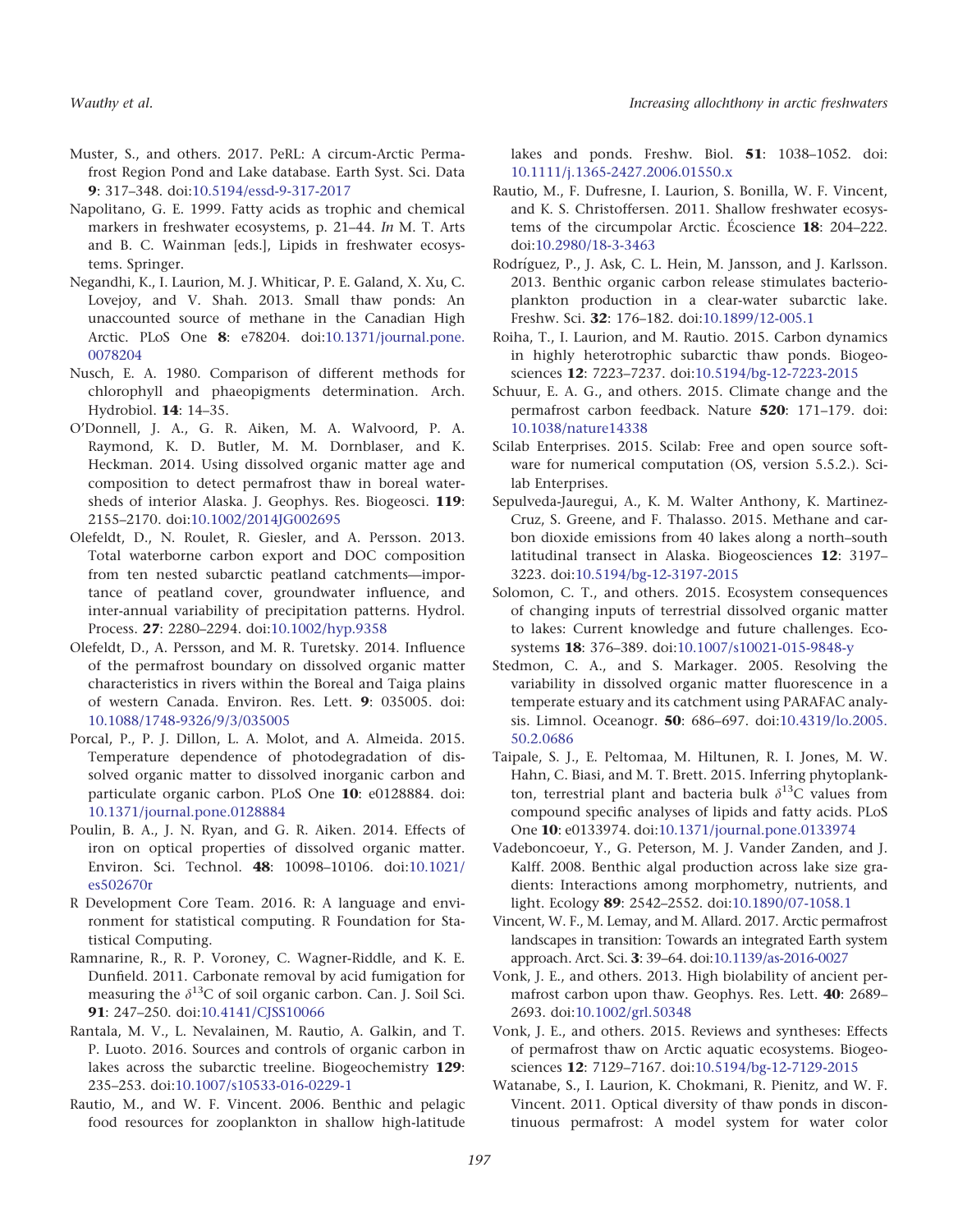- Muster, S., and others. 2017. PeRL: A circum-Arctic Permafrost Region Pond and Lake database. Earth Syst. Sci. Data 9: 317–348. doi[:10.5194/essd-9-317-2017](http://dx.doi.org/10.5194/essd-9-317-2017)
- Napolitano, G. E. 1999. Fatty acids as trophic and chemical markers in freshwater ecosystems, p. 21–44. In M. T. Arts and B. C. Wainman [eds.], Lipids in freshwater ecosystems. Springer.
- Negandhi, K., I. Laurion, M. J. Whiticar, P. E. Galand, X. Xu, C. Lovejoy, and V. Shah. 2013. Small thaw ponds: An unaccounted source of methane in the Canadian High Arctic. PLoS One 8: e78204. doi[:10.1371/journal.pone.](http://dx.doi.org/10.1371/journal.pone.0078204) [0078204](http://dx.doi.org/10.1371/journal.pone.0078204)
- Nusch, E. A. 1980. Comparison of different methods for chlorophyll and phaeopigments determination. Arch. Hydrobiol. 14: 14–35.
- O'Donnell, J. A., G. R. Aiken, M. A. Walvoord, P. A. Raymond, K. D. Butler, M. M. Dornblaser, and K. Heckman. 2014. Using dissolved organic matter age and composition to detect permafrost thaw in boreal watersheds of interior Alaska. J. Geophys. Res. Biogeosci. 119: 2155–2170. doi:[10.1002/2014JG002695](http://dx.doi.org/10.1002/2014JG002695)
- Olefeldt, D., N. Roulet, R. Giesler, and A. Persson. 2013. Total waterborne carbon export and DOC composition from ten nested subarctic peatland catchments—importance of peatland cover, groundwater influence, and inter-annual variability of precipitation patterns. Hydrol. Process. 27: 2280–2294. doi[:10.1002/hyp.9358](http://dx.doi.org/10.1002/hyp.9358)
- Olefeldt, D., A. Persson, and M. R. Turetsky. 2014. Influence of the permafrost boundary on dissolved organic matter characteristics in rivers within the Boreal and Taiga plains of western Canada. Environ. Res. Lett. 9: 035005. doi: [10.1088/1748-9326/9/3/035005](http://dx.doi.org/10.1088/1748-9326/9/3/035005)
- Porcal, P., P. J. Dillon, L. A. Molot, and A. Almeida. 2015. Temperature dependence of photodegradation of dissolved organic matter to dissolved inorganic carbon and particulate organic carbon. PLoS One 10: e0128884. doi: [10.1371/journal.pone.0128884](http://dx.doi.org/10.1371/journal.pone.0128884)
- Poulin, B. A., J. N. Ryan, and G. R. Aiken. 2014. Effects of iron on optical properties of dissolved organic matter. Environ. Sci. Technol. 48: 10098–10106. doi:[10.1021/](http://dx.doi.org/10.1021/es502670r) [es502670r](http://dx.doi.org/10.1021/es502670r)
- R Development Core Team. 2016. R: A language and environment for statistical computing. R Foundation for Statistical Computing.
- Ramnarine, R., R. P. Voroney, C. Wagner-Riddle, and K. E. Dunfield. 2011. Carbonate removal by acid fumigation for measuring the  $\delta^{13}C$  of soil organic carbon. Can. J. Soil Sci. 91: 247-250. doi[:10.4141/CJSS10066](http://dx.doi.org/10.4141/CJSS10066)
- Rantala, M. V., L. Nevalainen, M. Rautio, A. Galkin, and T. P. Luoto. 2016. Sources and controls of organic carbon in lakes across the subarctic treeline. Biogeochemistry 129: 235–253. doi[:10.1007/s10533-016-0229-1](http://dx.doi.org/10.1007/s10533-016-0229-1)
- Rautio, M., and W. F. Vincent. 2006. Benthic and pelagic food resources for zooplankton in shallow high-latitude

lakes and ponds. Freshw. Biol. 51: 1038-1052. doi: [10.1111/j.1365-2427.2006.01550.x](http://dx.doi.org/10.1111/j.1365-2427.2006.01550.x)

- Rautio, M., F. Dufresne, I. Laurion, S. Bonilla, W. F. Vincent, and K. S. Christoffersen. 2011. Shallow freshwater ecosystems of the circumpolar Arctic. Écoscience 18: 204–222. doi[:10.2980/18-3-3463](http://dx.doi.org/10.2980/18-3-3463)
- Rodríguez, P., J. Ask, C. L. Hein, M. Jansson, and J. Karlsson. 2013. Benthic organic carbon release stimulates bacterioplankton production in a clear-water subarctic lake. Freshw. Sci. 32: 176–182. doi[:10.1899/12-005.1](http://dx.doi.org/10.1899/12-005.1)
- Roiha, T., I. Laurion, and M. Rautio. 2015. Carbon dynamics in highly heterotrophic subarctic thaw ponds. Biogeosciences 12: 7223–7237. doi[:10.5194/bg-12-7223-2015](http://dx.doi.org/10.5194/bg-12-7223-2015)
- Schuur, E. A. G., and others. 2015. Climate change and the permafrost carbon feedback. Nature 520: 171–179. doi: [10.1038/nature14338](http://dx.doi.org/10.1038/nature14338)
- Scilab Enterprises. 2015. Scilab: Free and open source software for numerical computation (OS, version 5.5.2.). Scilab Enterprises.
- Sepulveda-Jauregui, A., K. M. Walter Anthony, K. Martinez-Cruz, S. Greene, and F. Thalasso. 2015. Methane and carbon dioxide emissions from 40 lakes along a north–south latitudinal transect in Alaska. Biogeosciences 12: 3197– 3223. doi[:10.5194/bg-12-3197-2015](http://dx.doi.org/10.5194/bg-12-3197-2015)
- Solomon, C. T., and others. 2015. Ecosystem consequences of changing inputs of terrestrial dissolved organic matter to lakes: Current knowledge and future challenges. Ecosystems 18: 376–389. doi[:10.1007/s10021-015-9848-y](http://dx.doi.org/10.1007/s10021-015-9848-y)
- Stedmon, C. A., and S. Markager. 2005. Resolving the variability in dissolved organic matter fluorescence in a temperate estuary and its catchment using PARAFAC analysis. Limnol. Oceanogr. 50: 686–697. doi:[10.4319/lo.2005.](http://dx.doi.org/10.4319/lo.2005.50.2.0686) [50.2.0686](http://dx.doi.org/10.4319/lo.2005.50.2.0686)
- Taipale, S. J., E. Peltomaa, M. Hiltunen, R. I. Jones, M. W. Hahn, C. Biasi, and M. T. Brett. 2015. Inferring phytoplankton, terrestrial plant and bacteria bulk  $\delta^{13}$ C values from compound specific analyses of lipids and fatty acids. PLoS One 10: e0133974. doi[:10.1371/journal.pone.0133974](http://dx.doi.org/10.1371/journal.pone.0133974)
- Vadeboncoeur, Y., G. Peterson, M. J. Vander Zanden, and J. Kalff. 2008. Benthic algal production across lake size gradients: Interactions among morphometry, nutrients, and light. Ecology 89: 2542–2552. doi:[10.1890/07-1058.1](http://dx.doi.org/10.1890/07-1058.1)
- Vincent, W. F., M. Lemay, and M. Allard. 2017. Arctic permafrost landscapes in transition: Towards an integrated Earth system approach. Arct. Sci. 3: 39–64. doi[:10.1139/as-2016-0027](http://dx.doi.org/10.1139/as-2016-0027)
- Vonk, J. E., and others. 2013. High biolability of ancient permafrost carbon upon thaw. Geophys. Res. Lett. 40: 2689– 2693. doi[:10.1002/grl.50348](http://dx.doi.org/10.1002/grl.50348)
- Vonk, J. E., and others. 2015. Reviews and syntheses: Effects of permafrost thaw on Arctic aquatic ecosystems. Biogeosciences 12: 7129–7167. doi[:10.5194/bg-12-7129-2015](http://dx.doi.org/10.5194/bg-12-7129-2015)
- Watanabe, S., I. Laurion, K. Chokmani, R. Pienitz, and W. F. Vincent. 2011. Optical diversity of thaw ponds in discontinuous permafrost: A model system for water color